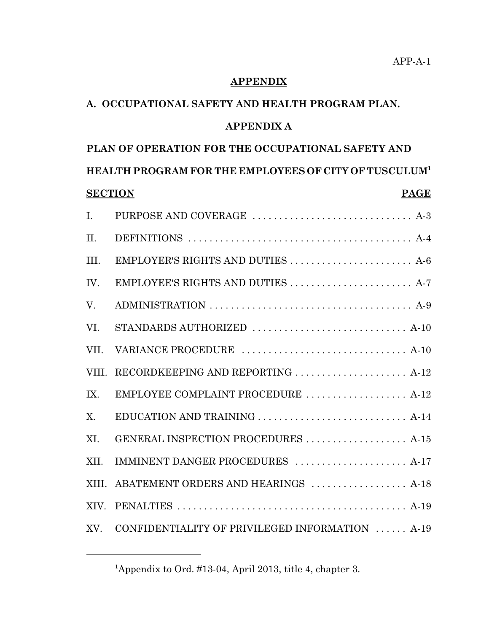#### **APPENDIX**

# **A. OCCUPATIONAL SAFETY AND HEALTH PROGRAM PLAN.**

#### **APPENDIX A**

# **PLAN OF OPERATION FOR THE OCCUPATIONAL SAFETY AND HEALTH PROGRAM FOR THE EMPLOYEES OF CITY OF TUSCULUM1 SECTION PAGE** I. PURPOSE AND COVERAGE ................................. A-3 II. DEFINITIONS . . . . . . . . . . . . . . . . . . . . . . . . . . . . . . . . . . . . . . . . . . A-4 III. EMPLOYER'S RIGHTS AND DUTIES . . . . . . . . . . . . . . . . . . . . . . . A-6 IV. EMPLOYEE'S RIGHTS AND DUTIES . . . . . . . . . . . . . . . . . . . . . . . A-7 V. ADMINISTRATION . . . . . . . . . . . . . . . . . . . . . . . . . . . . . . . . . . . . . . A-9 VI. STANDARDS AUTHORIZED . . . . . . . . . . . . . . . . . . . . . . . . . . . . . A-10 VII. VARIANCE PROCEDURE . . . . . . . . . . . . . . . . . . . . . . . . . . . . . . . A-10 VIII. RECORDKEEPING AND REPORTING . . . . . . . . . . . . . . . . . . . . . A-12 IX. EMPLOYEE COMPLAINT PROCEDURE . . . . . . . . . . . . . . . . . . . A-12 X. EDUCATION AND TRAINING . . . . . . . . . . . . . . . . . . . . . . . . . . . . A-14 XI. GENERAL INSPECTION PROCEDURES . . . . . . . . . . . . . . . . . . . A-15 XII. IMMINENT DANGER PROCEDURES ..................... A-17 XIII. ABATEMENT ORDERS AND HEARINGS .................. A-18 XIV. PENALTIES . . . . . . . . . . . . . . . . . . . . . . . . . . . . . . . . . . . . . . . . . . . A-19 XV. CONFIDENTIALITY OF PRIVILEGED INFORMATION . . . . . . A-19

<sup>&</sup>lt;sup>1</sup>Appendix to Ord. #13-04, April 2013, title 4, chapter 3.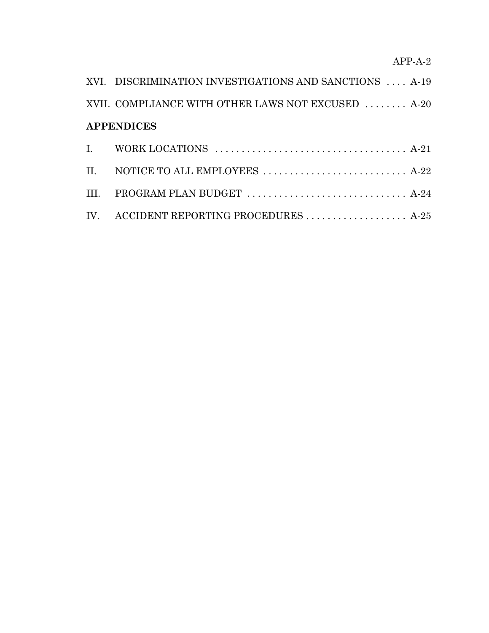# APP-A-2

| XVI. DISCRIMINATION INVESTIGATIONS AND SANCTIONS  A-19                                           |  |
|--------------------------------------------------------------------------------------------------|--|
| XVII. COMPLIANCE WITH OTHER LAWS NOT EXCUSED  A-20                                               |  |
| <b>APPENDICES</b>                                                                                |  |
| I. WORK LOCATIONS $\ldots \ldots \ldots \ldots \ldots \ldots \ldots \ldots \ldots \ldots$ . A-21 |  |
| II. NOTICE TO ALL EMPLOYEES  A-22                                                                |  |
|                                                                                                  |  |
| IV. ACCIDENT REPORTING PROCEDURES  A-25                                                          |  |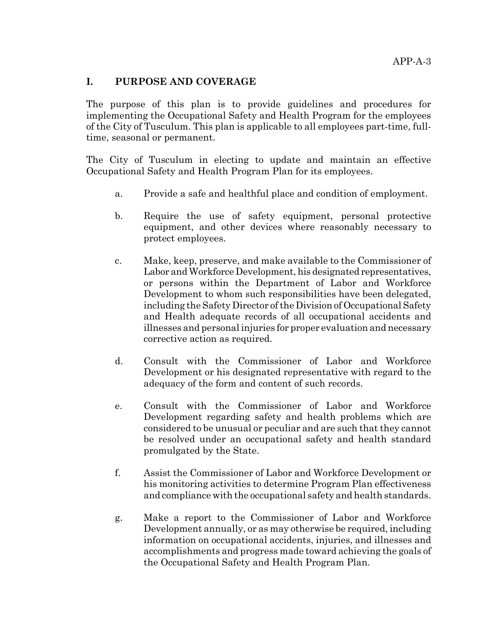#### **I. PURPOSE AND COVERAGE**

The purpose of this plan is to provide guidelines and procedures for implementing the Occupational Safety and Health Program for the employees of the City of Tusculum. This plan is applicable to all employees part-time, fulltime, seasonal or permanent.

The City of Tusculum in electing to update and maintain an effective Occupational Safety and Health Program Plan for its employees.

- a. Provide a safe and healthful place and condition of employment.
- b. Require the use of safety equipment, personal protective equipment, and other devices where reasonably necessary to protect employees.
- c. Make, keep, preserve, and make available to the Commissioner of Labor and Workforce Development, his designated representatives, or persons within the Department of Labor and Workforce Development to whom such responsibilities have been delegated, including the Safety Director of the Division of Occupational Safety and Health adequate records of all occupational accidents and illnesses and personal injuries for proper evaluation and necessary corrective action as required.
- d. Consult with the Commissioner of Labor and Workforce Development or his designated representative with regard to the adequacy of the form and content of such records.
- e. Consult with the Commissioner of Labor and Workforce Development regarding safety and health problems which are considered to be unusual or peculiar and are such that they cannot be resolved under an occupational safety and health standard promulgated by the State.
- f. Assist the Commissioner of Labor and Workforce Development or his monitoring activities to determine Program Plan effectiveness and compliance with the occupational safety and health standards.
- g. Make a report to the Commissioner of Labor and Workforce Development annually, or as may otherwise be required, including information on occupational accidents, injuries, and illnesses and accomplishments and progress made toward achieving the goals of the Occupational Safety and Health Program Plan.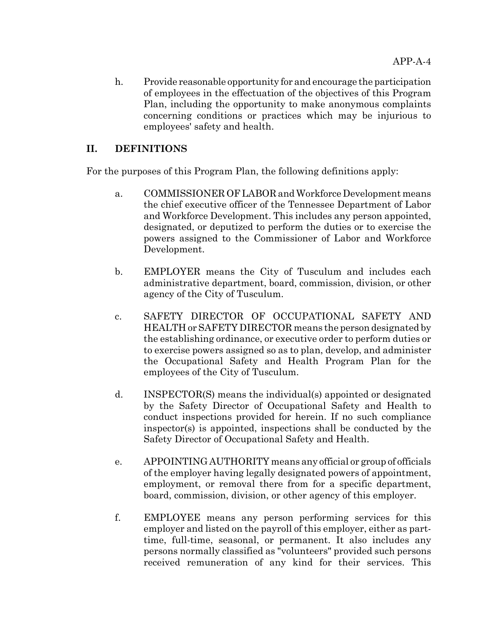h. Provide reasonable opportunity for and encourage the participation of employees in the effectuation of the objectives of this Program Plan, including the opportunity to make anonymous complaints concerning conditions or practices which may be injurious to employees' safety and health.

### **II. DEFINITIONS**

For the purposes of this Program Plan, the following definitions apply:

- a. COMMISSIONER OF LABOR and Workforce Development means the chief executive officer of the Tennessee Department of Labor and Workforce Development. This includes any person appointed, designated, or deputized to perform the duties or to exercise the powers assigned to the Commissioner of Labor and Workforce Development.
- b. EMPLOYER means the City of Tusculum and includes each administrative department, board, commission, division, or other agency of the City of Tusculum.
- c. SAFETY DIRECTOR OF OCCUPATIONAL SAFETY AND HEALTH or SAFETY DIRECTOR means the person designated by the establishing ordinance, or executive order to perform duties or to exercise powers assigned so as to plan, develop, and administer the Occupational Safety and Health Program Plan for the employees of the City of Tusculum.
- d. INSPECTOR(S) means the individual(s) appointed or designated by the Safety Director of Occupational Safety and Health to conduct inspections provided for herein. If no such compliance inspector(s) is appointed, inspections shall be conducted by the Safety Director of Occupational Safety and Health.
- e. APPOINTING AUTHORITY means any official or group of officials of the employer having legally designated powers of appointment, employment, or removal there from for a specific department, board, commission, division, or other agency of this employer.
- f. EMPLOYEE means any person performing services for this employer and listed on the payroll of this employer, either as parttime, full-time, seasonal, or permanent. It also includes any persons normally classified as "volunteers" provided such persons received remuneration of any kind for their services. This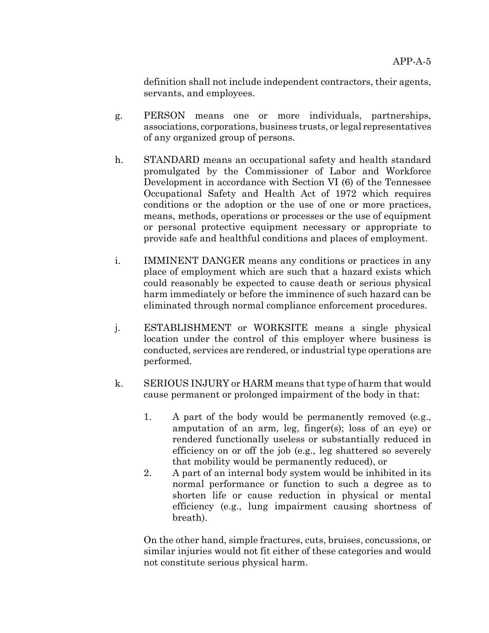definition shall not include independent contractors, their agents, servants, and employees.

- g. PERSON means one or more individuals, partnerships, associations, corporations, business trusts, or legal representatives of any organized group of persons.
- h. STANDARD means an occupational safety and health standard promulgated by the Commissioner of Labor and Workforce Development in accordance with Section VI (6) of the Tennessee Occupational Safety and Health Act of 1972 which requires conditions or the adoption or the use of one or more practices, means, methods, operations or processes or the use of equipment or personal protective equipment necessary or appropriate to provide safe and healthful conditions and places of employment.
- i. IMMINENT DANGER means any conditions or practices in any place of employment which are such that a hazard exists which could reasonably be expected to cause death or serious physical harm immediately or before the imminence of such hazard can be eliminated through normal compliance enforcement procedures.
- j. ESTABLISHMENT or WORKSITE means a single physical location under the control of this employer where business is conducted, services are rendered, or industrial type operations are performed.
- k. SERIOUS INJURY or HARM means that type of harm that would cause permanent or prolonged impairment of the body in that:
	- 1. A part of the body would be permanently removed (e.g., amputation of an arm, leg, finger(s); loss of an eye) or rendered functionally useless or substantially reduced in efficiency on or off the job (e.g., leg shattered so severely that mobility would be permanently reduced), or
	- 2. A part of an internal body system would be inhibited in its normal performance or function to such a degree as to shorten life or cause reduction in physical or mental efficiency (e.g., lung impairment causing shortness of breath).

On the other hand, simple fractures, cuts, bruises, concussions, or similar injuries would not fit either of these categories and would not constitute serious physical harm.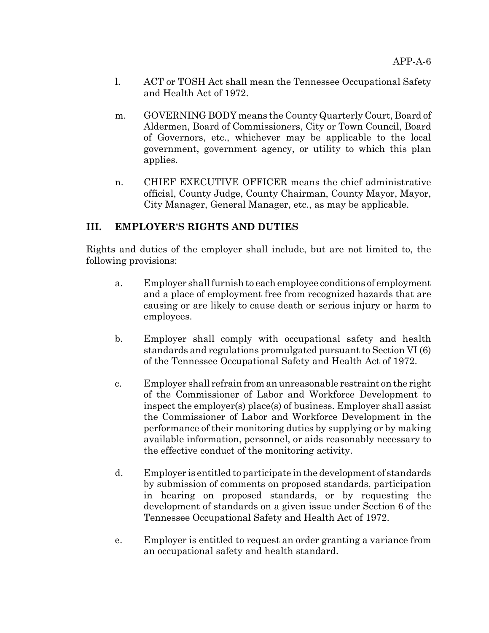- l. ACT or TOSH Act shall mean the Tennessee Occupational Safety and Health Act of 1972.
- m. GOVERNING BODY means the County Quarterly Court, Board of Aldermen, Board of Commissioners, City or Town Council, Board of Governors, etc., whichever may be applicable to the local government, government agency, or utility to which this plan applies.
- n. CHIEF EXECUTIVE OFFICER means the chief administrative official, County Judge, County Chairman, County Mayor, Mayor, City Manager, General Manager, etc., as may be applicable.

### **III. EMPLOYER'S RIGHTS AND DUTIES**

Rights and duties of the employer shall include, but are not limited to, the following provisions:

- a. Employer shall furnish to each employee conditions of employment and a place of employment free from recognized hazards that are causing or are likely to cause death or serious injury or harm to employees.
- b. Employer shall comply with occupational safety and health standards and regulations promulgated pursuant to Section VI (6) of the Tennessee Occupational Safety and Health Act of 1972.
- c. Employer shall refrain from an unreasonable restraint on the right of the Commissioner of Labor and Workforce Development to inspect the employer(s) place(s) of business. Employer shall assist the Commissioner of Labor and Workforce Development in the performance of their monitoring duties by supplying or by making available information, personnel, or aids reasonably necessary to the effective conduct of the monitoring activity.
- d. Employer is entitled to participate in the development of standards by submission of comments on proposed standards, participation in hearing on proposed standards, or by requesting the development of standards on a given issue under Section 6 of the Tennessee Occupational Safety and Health Act of 1972.
- e. Employer is entitled to request an order granting a variance from an occupational safety and health standard.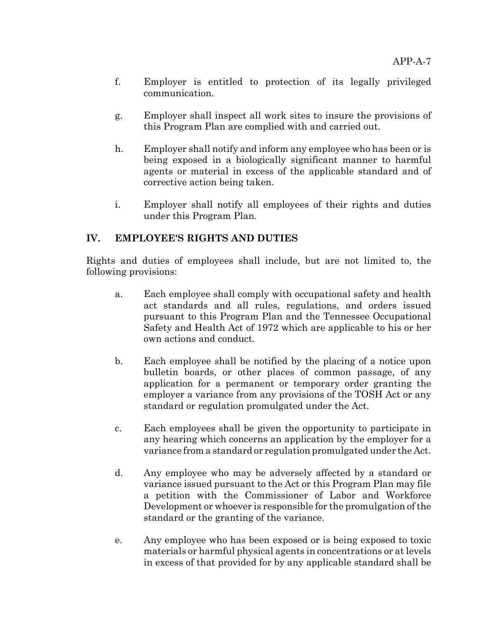- f. Employer is entitled to protection of its legally privileged communication.
- g. Employer shall inspect all work sites to insure the provisions of this Program Plan are complied with and carried out.
- h. Employer shall notify and inform any employee who has been or is being exposed in a biologically significant manner to harmful agents or material in excess of the applicable standard and of corrective action being taken.
- i. Employer shall notify all employees of their rights and duties under this Program Plan.

## **IV. EMPLOYEE'S RIGHTS AND DUTIES**

Rights and duties of employees shall include, but are not limited to, the following provisions:

- a. Each employee shall comply with occupational safety and health act standards and all rules, regulations, and orders issued pursuant to this Program Plan and the Tennessee Occupational Safety and Health Act of 1972 which are applicable to his or her own actions and conduct.
- b. Each employee shall be notified by the placing of a notice upon bulletin boards, or other places of common passage, of any application for a permanent or temporary order granting the employer a variance from any provisions of the TOSH Act or any standard or regulation promulgated under the Act.
- c. Each employees shall be given the opportunity to participate in any hearing which concerns an application by the employer for a variance from a standard or regulation promulgated under the Act.
- d. Any employee who may be adversely affected by a standard or variance issued pursuant to the Act or this Program Plan may file a petition with the Commissioner of Labor and Workforce Development or whoever is responsible for the promulgation of the standard or the granting of the variance.
- e. Any employee who has been exposed or is being exposed to toxic materials or harmful physical agents in concentrations or at levels in excess of that provided for by any applicable standard shall be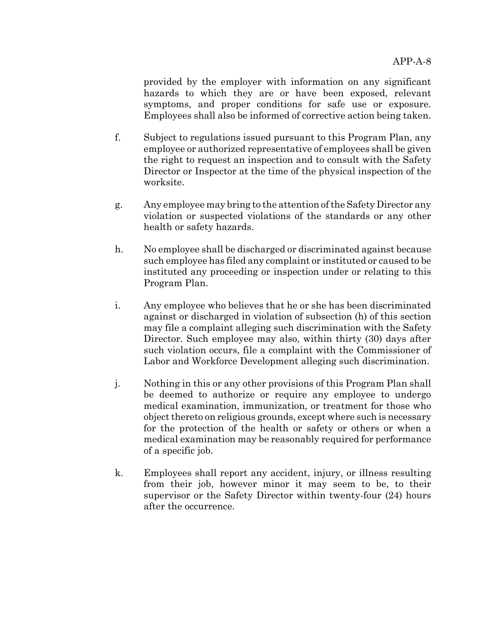provided by the employer with information on any significant hazards to which they are or have been exposed, relevant symptoms, and proper conditions for safe use or exposure. Employees shall also be informed of corrective action being taken.

- f. Subject to regulations issued pursuant to this Program Plan, any employee or authorized representative of employees shall be given the right to request an inspection and to consult with the Safety Director or Inspector at the time of the physical inspection of the worksite.
- g. Any employee may bring to the attention of the Safety Director any violation or suspected violations of the standards or any other health or safety hazards.
- h. No employee shall be discharged or discriminated against because such employee has filed any complaint or instituted or caused to be instituted any proceeding or inspection under or relating to this Program Plan.
- i. Any employee who believes that he or she has been discriminated against or discharged in violation of subsection (h) of this section may file a complaint alleging such discrimination with the Safety Director. Such employee may also, within thirty (30) days after such violation occurs, file a complaint with the Commissioner of Labor and Workforce Development alleging such discrimination.
- j. Nothing in this or any other provisions of this Program Plan shall be deemed to authorize or require any employee to undergo medical examination, immunization, or treatment for those who object thereto on religious grounds, except where such is necessary for the protection of the health or safety or others or when a medical examination may be reasonably required for performance of a specific job.
- k. Employees shall report any accident, injury, or illness resulting from their job, however minor it may seem to be, to their supervisor or the Safety Director within twenty-four (24) hours after the occurrence.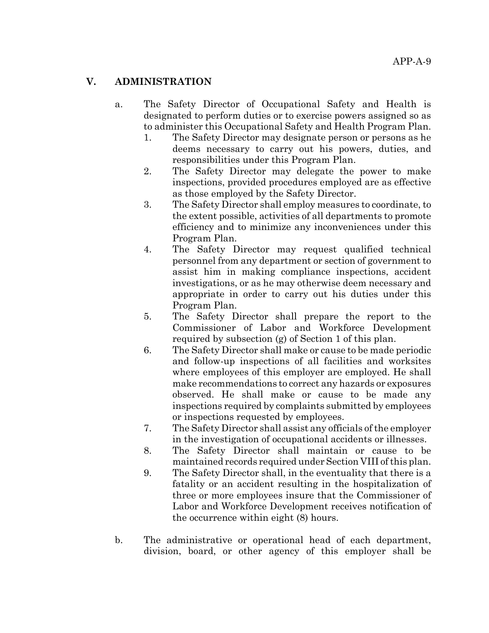### **V. ADMINISTRATION**

- a. The Safety Director of Occupational Safety and Health is designated to perform duties or to exercise powers assigned so as to administer this Occupational Safety and Health Program Plan.
	- 1. The Safety Director may designate person or persons as he deems necessary to carry out his powers, duties, and responsibilities under this Program Plan.
	- 2. The Safety Director may delegate the power to make inspections, provided procedures employed are as effective as those employed by the Safety Director.
	- 3. The Safety Director shall employ measures to coordinate, to the extent possible, activities of all departments to promote efficiency and to minimize any inconveniences under this Program Plan.
	- 4. The Safety Director may request qualified technical personnel from any department or section of government to assist him in making compliance inspections, accident investigations, or as he may otherwise deem necessary and appropriate in order to carry out his duties under this Program Plan.
	- 5. The Safety Director shall prepare the report to the Commissioner of Labor and Workforce Development required by subsection (g) of Section 1 of this plan.
	- 6. The Safety Director shall make or cause to be made periodic and follow-up inspections of all facilities and worksites where employees of this employer are employed. He shall make recommendations to correct any hazards or exposures observed. He shall make or cause to be made any inspections required by complaints submitted by employees or inspections requested by employees.
	- 7. The Safety Director shall assist any officials of the employer in the investigation of occupational accidents or illnesses.
	- 8. The Safety Director shall maintain or cause to be maintained records required under Section VIII of this plan.
	- 9. The Safety Director shall, in the eventuality that there is a fatality or an accident resulting in the hospitalization of three or more employees insure that the Commissioner of Labor and Workforce Development receives notification of the occurrence within eight (8) hours.
- b. The administrative or operational head of each department, division, board, or other agency of this employer shall be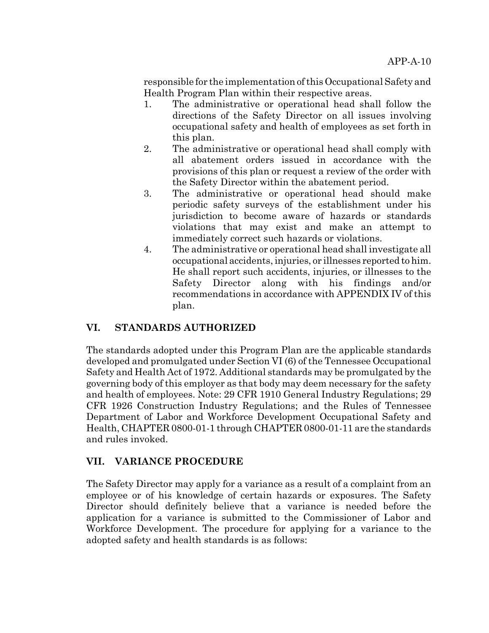responsible for the implementation of this Occupational Safety and Health Program Plan within their respective areas.

- 1. The administrative or operational head shall follow the directions of the Safety Director on all issues involving occupational safety and health of employees as set forth in this plan.
- 2. The administrative or operational head shall comply with all abatement orders issued in accordance with the provisions of this plan or request a review of the order with the Safety Director within the abatement period.
- 3. The administrative or operational head should make periodic safety surveys of the establishment under his jurisdiction to become aware of hazards or standards violations that may exist and make an attempt to immediately correct such hazards or violations.
- 4. The administrative or operational head shall investigate all occupational accidents, injuries, or illnesses reported to him. He shall report such accidents, injuries, or illnesses to the Safety Director along with his findings and/or recommendations in accordance with APPENDIX IV of this plan.

# **VI. STANDARDS AUTHORIZED**

The standards adopted under this Program Plan are the applicable standards developed and promulgated under Section VI (6) of the Tennessee Occupational Safety and Health Act of 1972. Additional standards may be promulgated by the governing body of this employer as that body may deem necessary for the safety and health of employees. Note: 29 CFR 1910 General Industry Regulations; 29 CFR 1926 Construction Industry Regulations; and the Rules of Tennessee Department of Labor and Workforce Development Occupational Safety and Health, CHAPTER 0800-01-1 through CHAPTER 0800-01-11 are the standards and rules invoked.

## **VII. VARIANCE PROCEDURE**

The Safety Director may apply for a variance as a result of a complaint from an employee or of his knowledge of certain hazards or exposures. The Safety Director should definitely believe that a variance is needed before the application for a variance is submitted to the Commissioner of Labor and Workforce Development. The procedure for applying for a variance to the adopted safety and health standards is as follows: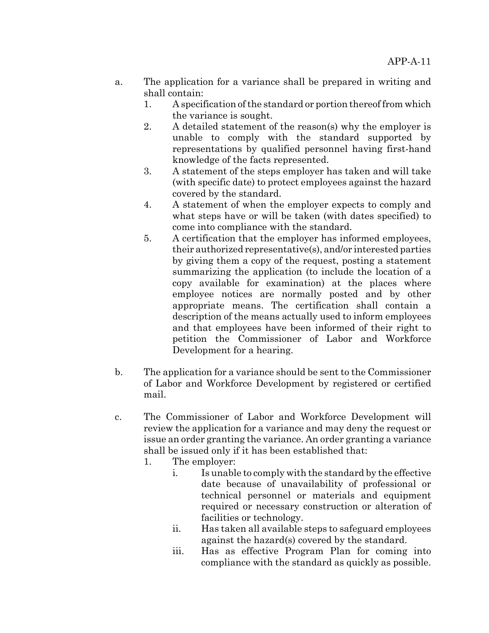- a. The application for a variance shall be prepared in writing and shall contain:
	- 1. A specification of the standard or portion thereof from which the variance is sought.
	- 2. A detailed statement of the reason(s) why the employer is unable to comply with the standard supported by representations by qualified personnel having first-hand knowledge of the facts represented.
	- 3. A statement of the steps employer has taken and will take (with specific date) to protect employees against the hazard covered by the standard.
	- 4. A statement of when the employer expects to comply and what steps have or will be taken (with dates specified) to come into compliance with the standard.
	- 5. A certification that the employer has informed employees, their authorized representative(s), and/or interested parties by giving them a copy of the request, posting a statement summarizing the application (to include the location of a copy available for examination) at the places where employee notices are normally posted and by other appropriate means. The certification shall contain a description of the means actually used to inform employees and that employees have been informed of their right to petition the Commissioner of Labor and Workforce Development for a hearing.
- b. The application for a variance should be sent to the Commissioner of Labor and Workforce Development by registered or certified mail.
- c. The Commissioner of Labor and Workforce Development will review the application for a variance and may deny the request or issue an order granting the variance. An order granting a variance shall be issued only if it has been established that:
	- 1. The employer:
		- i. Is unable to comply with the standard by the effective date because of unavailability of professional or technical personnel or materials and equipment required or necessary construction or alteration of facilities or technology.
		- ii. Has taken all available steps to safeguard employees against the hazard(s) covered by the standard.
		- iii. Has as effective Program Plan for coming into compliance with the standard as quickly as possible.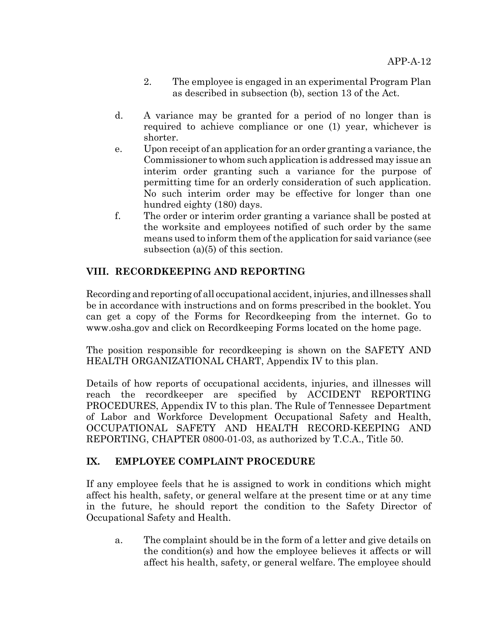- 2. The employee is engaged in an experimental Program Plan as described in subsection (b), section 13 of the Act.
- d. A variance may be granted for a period of no longer than is required to achieve compliance or one (1) year, whichever is shorter.
- e. Upon receipt of an application for an order granting a variance, the Commissioner to whom such application is addressed may issue an interim order granting such a variance for the purpose of permitting time for an orderly consideration of such application. No such interim order may be effective for longer than one hundred eighty (180) days.
- f. The order or interim order granting a variance shall be posted at the worksite and employees notified of such order by the same means used to inform them of the application for said variance (see subsection (a)(5) of this section.

# **VIII. RECORDKEEPING AND REPORTING**

Recording and reporting of all occupational accident, injuries, and illnesses shall be in accordance with instructions and on forms prescribed in the booklet. You can get a copy of the Forms for Recordkeeping from the internet. Go to www.osha.gov and click on Recordkeeping Forms located on the home page.

The position responsible for recordkeeping is shown on the SAFETY AND HEALTH ORGANIZATIONAL CHART, Appendix IV to this plan.

Details of how reports of occupational accidents, injuries, and illnesses will reach the recordkeeper are specified by ACCIDENT REPORTING PROCEDURES, Appendix IV to this plan. The Rule of Tennessee Department of Labor and Workforce Development Occupational Safety and Health, OCCUPATIONAL SAFETY AND HEALTH RECORD-KEEPING AND REPORTING, CHAPTER 0800-01-03, as authorized by T.C.A., Title 50.

# **IX. EMPLOYEE COMPLAINT PROCEDURE**

If any employee feels that he is assigned to work in conditions which might affect his health, safety, or general welfare at the present time or at any time in the future, he should report the condition to the Safety Director of Occupational Safety and Health.

a. The complaint should be in the form of a letter and give details on the condition(s) and how the employee believes it affects or will affect his health, safety, or general welfare. The employee should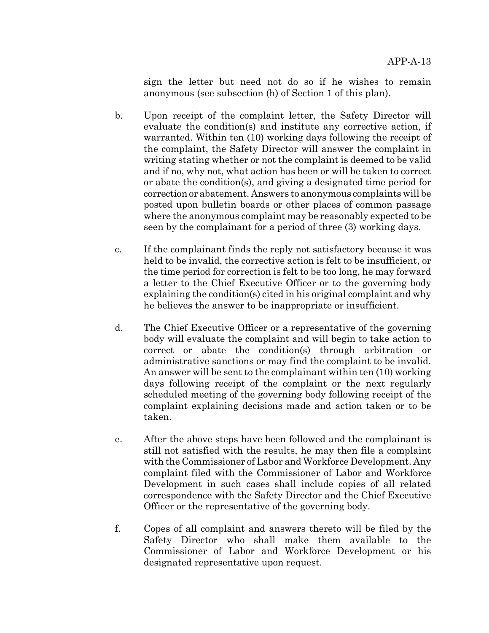sign the letter but need not do so if he wishes to remain anonymous (see subsection (h) of Section 1 of this plan).

- b. Upon receipt of the complaint letter, the Safety Director will evaluate the condition(s) and institute any corrective action, if warranted. Within ten (10) working days following the receipt of the complaint, the Safety Director will answer the complaint in writing stating whether or not the complaint is deemed to be valid and if no, why not, what action has been or will be taken to correct or abate the condition(s), and giving a designated time period for correction or abatement. Answers to anonymous complaints will be posted upon bulletin boards or other places of common passage where the anonymous complaint may be reasonably expected to be seen by the complainant for a period of three (3) working days.
- c. If the complainant finds the reply not satisfactory because it was held to be invalid, the corrective action is felt to be insufficient, or the time period for correction is felt to be too long, he may forward a letter to the Chief Executive Officer or to the governing body explaining the condition(s) cited in his original complaint and why he believes the answer to be inappropriate or insufficient.
- d. The Chief Executive Officer or a representative of the governing body will evaluate the complaint and will begin to take action to correct or abate the condition(s) through arbitration or administrative sanctions or may find the complaint to be invalid. An answer will be sent to the complainant within ten (10) working days following receipt of the complaint or the next regularly scheduled meeting of the governing body following receipt of the complaint explaining decisions made and action taken or to be taken.
- e. After the above steps have been followed and the complainant is still not satisfied with the results, he may then file a complaint with the Commissioner of Labor and Workforce Development. Any complaint filed with the Commissioner of Labor and Workforce Development in such cases shall include copies of all related correspondence with the Safety Director and the Chief Executive Officer or the representative of the governing body.
- f. Copes of all complaint and answers thereto will be filed by the Safety Director who shall make them available to the Commissioner of Labor and Workforce Development or his designated representative upon request.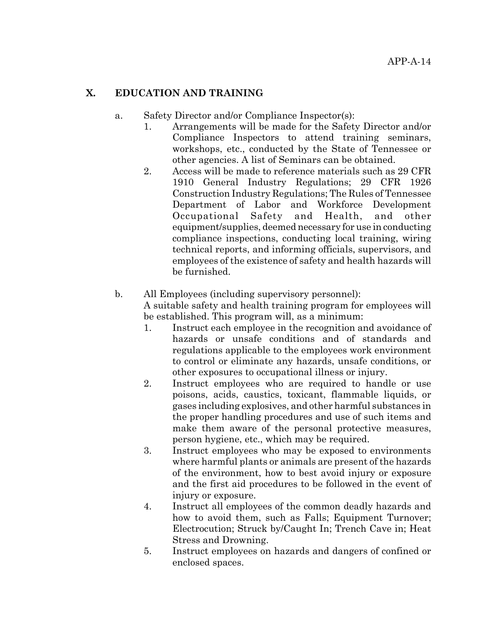#### **X. EDUCATION AND TRAINING**

- a. Safety Director and/or Compliance Inspector(s):
	- 1. Arrangements will be made for the Safety Director and/or Compliance Inspectors to attend training seminars, workshops, etc., conducted by the State of Tennessee or other agencies. A list of Seminars can be obtained.
	- 2. Access will be made to reference materials such as 29 CFR 1910 General Industry Regulations; 29 CFR 1926 Construction Industry Regulations; The Rules of Tennessee Department of Labor and Workforce Development Occupational Safety and Health, and other equipment/supplies, deemed necessary for use in conducting compliance inspections, conducting local training, wiring technical reports, and informing officials, supervisors, and employees of the existence of safety and health hazards will be furnished.

#### b. All Employees (including supervisory personnel):

A suitable safety and health training program for employees will be established. This program will, as a minimum:

- 1. Instruct each employee in the recognition and avoidance of hazards or unsafe conditions and of standards and regulations applicable to the employees work environment to control or eliminate any hazards, unsafe conditions, or other exposures to occupational illness or injury.
- 2. Instruct employees who are required to handle or use poisons, acids, caustics, toxicant, flammable liquids, or gases including explosives, and other harmful substances in the proper handling procedures and use of such items and make them aware of the personal protective measures, person hygiene, etc., which may be required.
- 3. Instruct employees who may be exposed to environments where harmful plants or animals are present of the hazards of the environment, how to best avoid injury or exposure and the first aid procedures to be followed in the event of injury or exposure.
- 4. Instruct all employees of the common deadly hazards and how to avoid them, such as Falls; Equipment Turnover; Electrocution; Struck by/Caught In; Trench Cave in; Heat Stress and Drowning.
- 5. Instruct employees on hazards and dangers of confined or enclosed spaces.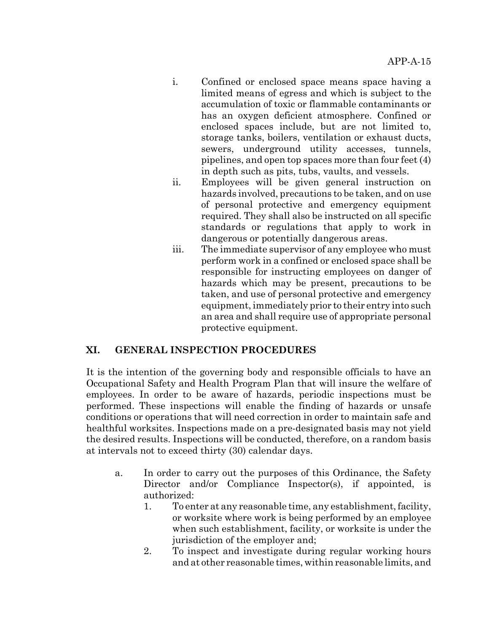- i. Confined or enclosed space means space having a limited means of egress and which is subject to the accumulation of toxic or flammable contaminants or has an oxygen deficient atmosphere. Confined or enclosed spaces include, but are not limited to, storage tanks, boilers, ventilation or exhaust ducts, sewers, underground utility accesses, tunnels, pipelines, and open top spaces more than four feet (4) in depth such as pits, tubs, vaults, and vessels.
- ii. Employees will be given general instruction on hazards involved, precautions to be taken, and on use of personal protective and emergency equipment required. They shall also be instructed on all specific standards or regulations that apply to work in dangerous or potentially dangerous areas.
- iii. The immediate supervisor of any employee who must perform work in a confined or enclosed space shall be responsible for instructing employees on danger of hazards which may be present, precautions to be taken, and use of personal protective and emergency equipment, immediately prior to their entry into such an area and shall require use of appropriate personal protective equipment.

## **XI. GENERAL INSPECTION PROCEDURES**

It is the intention of the governing body and responsible officials to have an Occupational Safety and Health Program Plan that will insure the welfare of employees. In order to be aware of hazards, periodic inspections must be performed. These inspections will enable the finding of hazards or unsafe conditions or operations that will need correction in order to maintain safe and healthful worksites. Inspections made on a pre-designated basis may not yield the desired results. Inspections will be conducted, therefore, on a random basis at intervals not to exceed thirty (30) calendar days.

- a. In order to carry out the purposes of this Ordinance, the Safety Director and/or Compliance Inspector(s), if appointed, is authorized:
	- 1. To enter at any reasonable time, any establishment, facility, or worksite where work is being performed by an employee when such establishment, facility, or worksite is under the jurisdiction of the employer and;
	- 2. To inspect and investigate during regular working hours and at other reasonable times, within reasonable limits, and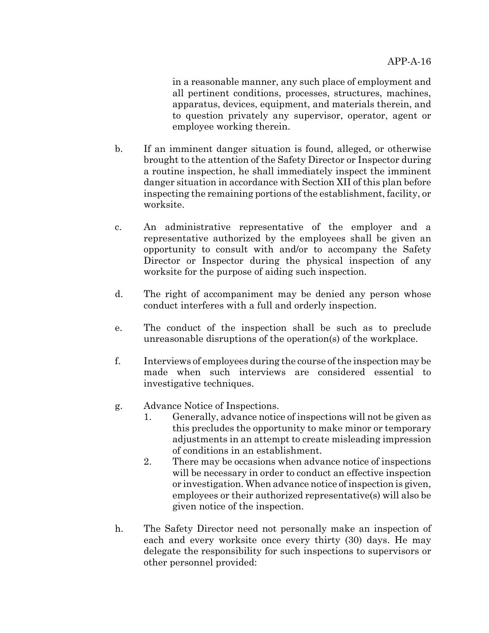in a reasonable manner, any such place of employment and all pertinent conditions, processes, structures, machines, apparatus, devices, equipment, and materials therein, and to question privately any supervisor, operator, agent or employee working therein.

- b. If an imminent danger situation is found, alleged, or otherwise brought to the attention of the Safety Director or Inspector during a routine inspection, he shall immediately inspect the imminent danger situation in accordance with Section XII of this plan before inspecting the remaining portions of the establishment, facility, or worksite.
- c. An administrative representative of the employer and a representative authorized by the employees shall be given an opportunity to consult with and/or to accompany the Safety Director or Inspector during the physical inspection of any worksite for the purpose of aiding such inspection.
- d. The right of accompaniment may be denied any person whose conduct interferes with a full and orderly inspection.
- e. The conduct of the inspection shall be such as to preclude unreasonable disruptions of the operation(s) of the workplace.
- f. Interviews of employees during the course of the inspection may be made when such interviews are considered essential to investigative techniques.
- g. Advance Notice of Inspections.
	- 1. Generally, advance notice of inspections will not be given as this precludes the opportunity to make minor or temporary adjustments in an attempt to create misleading impression of conditions in an establishment.
	- 2. There may be occasions when advance notice of inspections will be necessary in order to conduct an effective inspection or investigation. When advance notice of inspection is given, employees or their authorized representative(s) will also be given notice of the inspection.
- h. The Safety Director need not personally make an inspection of each and every worksite once every thirty (30) days. He may delegate the responsibility for such inspections to supervisors or other personnel provided: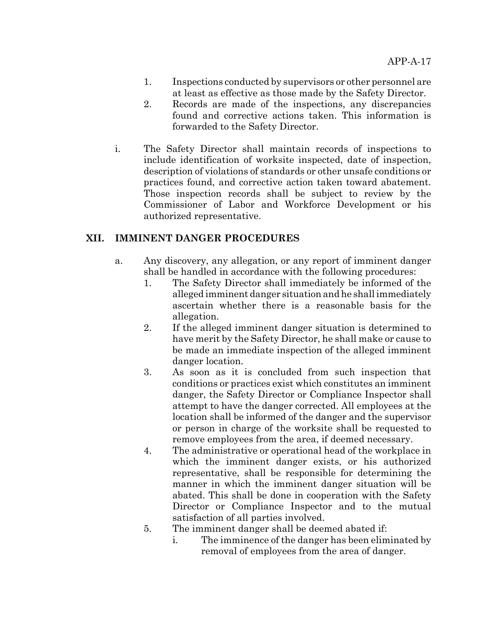- 1. Inspections conducted by supervisors or other personnel are at least as effective as those made by the Safety Director.
- 2. Records are made of the inspections, any discrepancies found and corrective actions taken. This information is forwarded to the Safety Director.
- i. The Safety Director shall maintain records of inspections to include identification of worksite inspected, date of inspection, description of violations of standards or other unsafe conditions or practices found, and corrective action taken toward abatement. Those inspection records shall be subject to review by the Commissioner of Labor and Workforce Development or his authorized representative.

### **XII. IMMINENT DANGER PROCEDURES**

- a. Any discovery, any allegation, or any report of imminent danger shall be handled in accordance with the following procedures:
	- 1. The Safety Director shall immediately be informed of the alleged imminent danger situation and he shall immediately ascertain whether there is a reasonable basis for the allegation.
	- 2. If the alleged imminent danger situation is determined to have merit by the Safety Director, he shall make or cause to be made an immediate inspection of the alleged imminent danger location.
	- 3. As soon as it is concluded from such inspection that conditions or practices exist which constitutes an imminent danger, the Safety Director or Compliance Inspector shall attempt to have the danger corrected. All employees at the location shall be informed of the danger and the supervisor or person in charge of the worksite shall be requested to remove employees from the area, if deemed necessary.
	- 4. The administrative or operational head of the workplace in which the imminent danger exists, or his authorized representative, shall be responsible for determining the manner in which the imminent danger situation will be abated. This shall be done in cooperation with the Safety Director or Compliance Inspector and to the mutual satisfaction of all parties involved.
	- 5. The imminent danger shall be deemed abated if:
		- i. The imminence of the danger has been eliminated by removal of employees from the area of danger.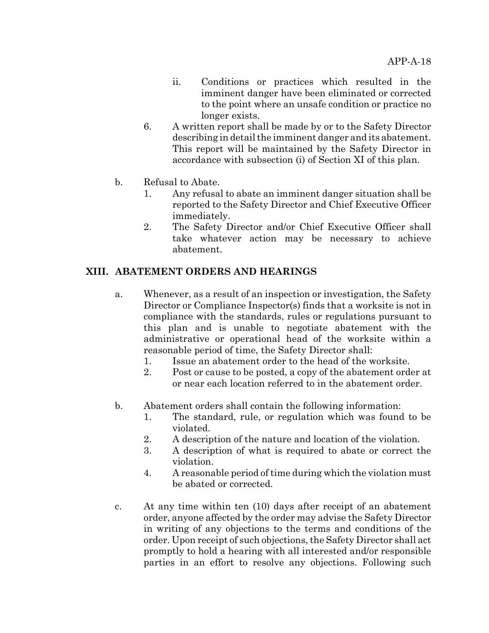- ii. Conditions or practices which resulted in the imminent danger have been eliminated or corrected to the point where an unsafe condition or practice no longer exists.
- 6. A written report shall be made by or to the Safety Director describing in detail the imminent danger and its abatement. This report will be maintained by the Safety Director in accordance with subsection (i) of Section XI of this plan.
- b. Refusal to Abate.
	- 1. Any refusal to abate an imminent danger situation shall be reported to the Safety Director and Chief Executive Officer immediately.
	- 2. The Safety Director and/or Chief Executive Officer shall take whatever action may be necessary to achieve abatement.

### **XIII. ABATEMENT ORDERS AND HEARINGS**

- a. Whenever, as a result of an inspection or investigation, the Safety Director or Compliance Inspector(s) finds that a worksite is not in compliance with the standards, rules or regulations pursuant to this plan and is unable to negotiate abatement with the administrative or operational head of the worksite within a reasonable period of time, the Safety Director shall:
	- 1. Issue an abatement order to the head of the worksite.
	- 2. Post or cause to be posted, a copy of the abatement order at or near each location referred to in the abatement order.
- b. Abatement orders shall contain the following information:
	- 1. The standard, rule, or regulation which was found to be violated.
	- 2. A description of the nature and location of the violation.
	- 3. A description of what is required to abate or correct the violation.
	- 4. A reasonable period of time during which the violation must be abated or corrected.
- c. At any time within ten (10) days after receipt of an abatement order, anyone affected by the order may advise the Safety Director in writing of any objections to the terms and conditions of the order. Upon receipt of such objections, the Safety Director shall act promptly to hold a hearing with all interested and/or responsible parties in an effort to resolve any objections. Following such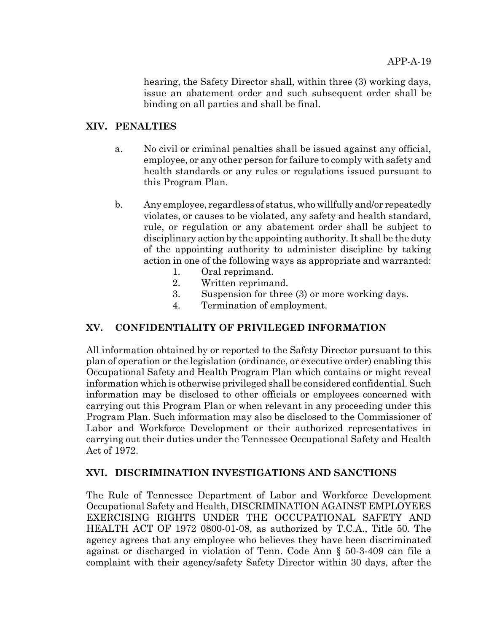hearing, the Safety Director shall, within three (3) working days, issue an abatement order and such subsequent order shall be binding on all parties and shall be final.

### **XIV. PENALTIES**

- a. No civil or criminal penalties shall be issued against any official, employee, or any other person for failure to comply with safety and health standards or any rules or regulations issued pursuant to this Program Plan.
- b. Any employee, regardless of status, who willfully and/or repeatedly violates, or causes to be violated, any safety and health standard, rule, or regulation or any abatement order shall be subject to disciplinary action by the appointing authority. It shall be the duty of the appointing authority to administer discipline by taking action in one of the following ways as appropriate and warranted:
	- 1. Oral reprimand.
	- 2. Written reprimand.
	- 3. Suspension for three (3) or more working days.
	- 4. Termination of employment.

## **XV. CONFIDENTIALITY OF PRIVILEGED INFORMATION**

All information obtained by or reported to the Safety Director pursuant to this plan of operation or the legislation (ordinance, or executive order) enabling this Occupational Safety and Health Program Plan which contains or might reveal information which is otherwise privileged shall be considered confidential. Such information may be disclosed to other officials or employees concerned with carrying out this Program Plan or when relevant in any proceeding under this Program Plan. Such information may also be disclosed to the Commissioner of Labor and Workforce Development or their authorized representatives in carrying out their duties under the Tennessee Occupational Safety and Health Act of 1972.

#### **XVI. DISCRIMINATION INVESTIGATIONS AND SANCTIONS**

The Rule of Tennessee Department of Labor and Workforce Development Occupational Safety and Health, DISCRIMINATION AGAINST EMPLOYEES EXERCISING RIGHTS UNDER THE OCCUPATIONAL SAFETY AND HEALTH ACT OF 1972 0800-01-08, as authorized by T.C.A., Title 50. The agency agrees that any employee who believes they have been discriminated against or discharged in violation of Tenn. Code Ann § 50-3-409 can file a complaint with their agency/safety Safety Director within 30 days, after the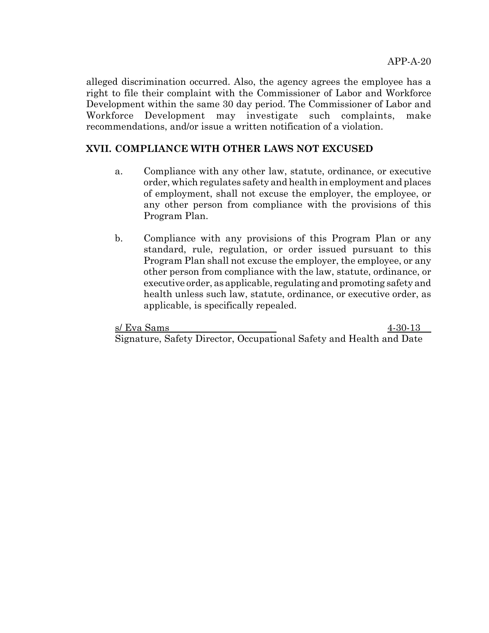alleged discrimination occurred. Also, the agency agrees the employee has a right to file their complaint with the Commissioner of Labor and Workforce Development within the same 30 day period. The Commissioner of Labor and Workforce Development may investigate such complaints, make recommendations, and/or issue a written notification of a violation.

## **XVII. COMPLIANCE WITH OTHER LAWS NOT EXCUSED**

- a. Compliance with any other law, statute, ordinance, or executive order, which regulates safety and health in employment and places of employment, shall not excuse the employer, the employee, or any other person from compliance with the provisions of this Program Plan.
- b. Compliance with any provisions of this Program Plan or any standard, rule, regulation, or order issued pursuant to this Program Plan shall not excuse the employer, the employee, or any other person from compliance with the law, statute, ordinance, or executive order, as applicable, regulating and promoting safety and health unless such law, statute, ordinance, or executive order, as applicable, is specifically repealed.

s/ Eva Sams 4-30-13 Signature, Safety Director, Occupational Safety and Health and Date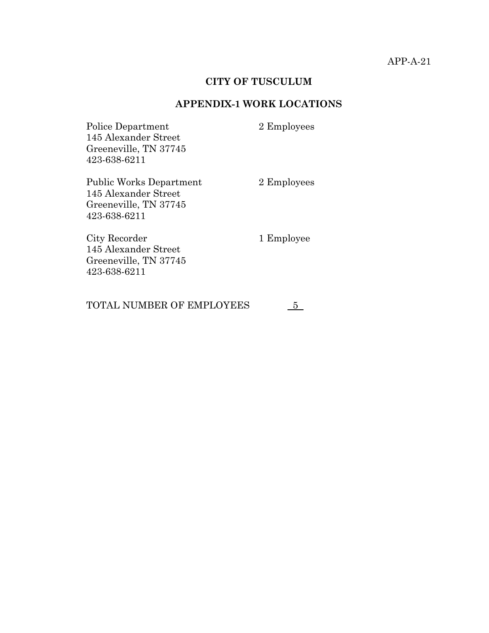### **CITY OF TUSCULUM**

# **APPENDIX-1 WORK LOCATIONS**

| Police Department<br>145 Alexander Street<br>Greeneville, TN 37745<br>423-638-6211              | 2 Employees |
|-------------------------------------------------------------------------------------------------|-------------|
| <b>Public Works Department</b><br>145 Alexander Street<br>Greeneville, TN 37745<br>423-638-6211 | 2 Employees |
| City Recorder<br>145 Alexander Street<br>Greeneville, TN 37745<br>423-638-6211                  | 1 Employee  |

TOTAL NUMBER OF EMPLOYEES  $5$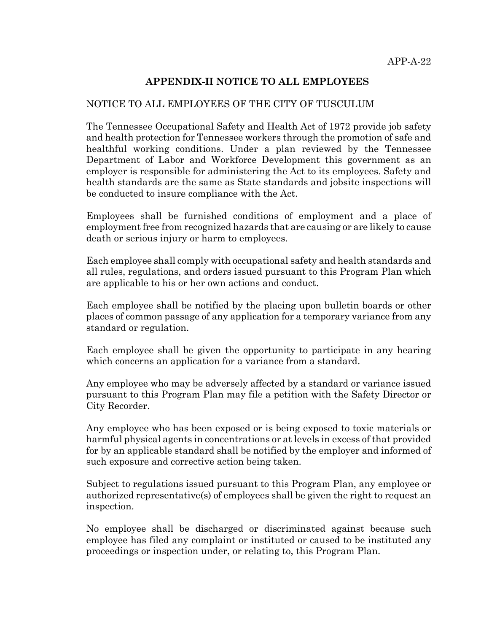## **APPENDIX-II NOTICE TO ALL EMPLOYEES**

#### NOTICE TO ALL EMPLOYEES OF THE CITY OF TUSCULUM

The Tennessee Occupational Safety and Health Act of 1972 provide job safety and health protection for Tennessee workers through the promotion of safe and healthful working conditions. Under a plan reviewed by the Tennessee Department of Labor and Workforce Development this government as an employer is responsible for administering the Act to its employees. Safety and health standards are the same as State standards and jobsite inspections will be conducted to insure compliance with the Act.

Employees shall be furnished conditions of employment and a place of employment free from recognized hazards that are causing or are likely to cause death or serious injury or harm to employees.

Each employee shall comply with occupational safety and health standards and all rules, regulations, and orders issued pursuant to this Program Plan which are applicable to his or her own actions and conduct.

Each employee shall be notified by the placing upon bulletin boards or other places of common passage of any application for a temporary variance from any standard or regulation.

Each employee shall be given the opportunity to participate in any hearing which concerns an application for a variance from a standard.

Any employee who may be adversely affected by a standard or variance issued pursuant to this Program Plan may file a petition with the Safety Director or City Recorder.

Any employee who has been exposed or is being exposed to toxic materials or harmful physical agents in concentrations or at levels in excess of that provided for by an applicable standard shall be notified by the employer and informed of such exposure and corrective action being taken.

Subject to regulations issued pursuant to this Program Plan, any employee or authorized representative(s) of employees shall be given the right to request an inspection.

No employee shall be discharged or discriminated against because such employee has filed any complaint or instituted or caused to be instituted any proceedings or inspection under, or relating to, this Program Plan.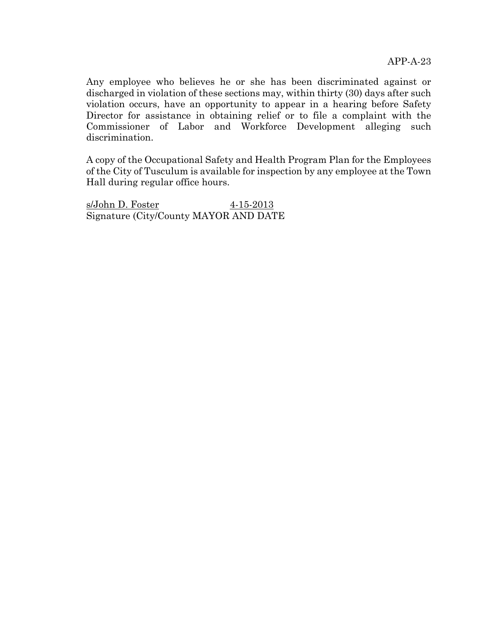Any employee who believes he or she has been discriminated against or discharged in violation of these sections may, within thirty (30) days after such violation occurs, have an opportunity to appear in a hearing before Safety Director for assistance in obtaining relief or to file a complaint with the Commissioner of Labor and Workforce Development alleging such discrimination.

A copy of the Occupational Safety and Health Program Plan for the Employees of the City of Tusculum is available for inspection by any employee at the Town Hall during regular office hours.

s/John D. Foster 4-15-2013 Signature (City/County MAYOR AND DATE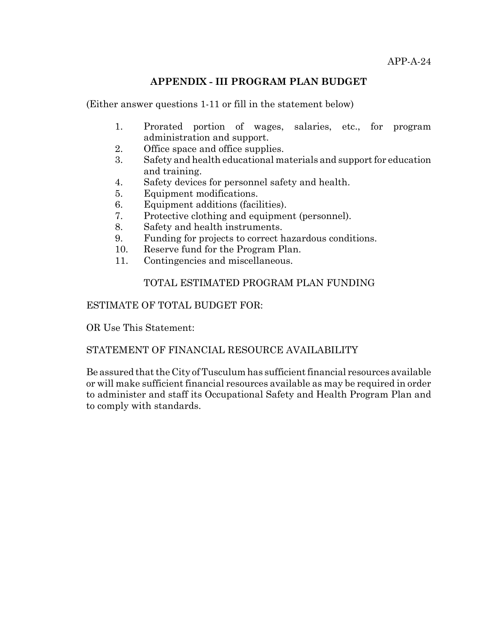#### **APPENDIX - III PROGRAM PLAN BUDGET**

(Either answer questions 1-11 or fill in the statement below)

- 1. Prorated portion of wages, salaries, etc., for program administration and support.
- 2. Office space and office supplies.
- 3. Safety and health educational materials and support for education and training.
- 4. Safety devices for personnel safety and health.
- 5. Equipment modifications.
- 6. Equipment additions (facilities).
- 7. Protective clothing and equipment (personnel).
- 8. Safety and health instruments.
- 9. Funding for projects to correct hazardous conditions.
- 10. Reserve fund for the Program Plan.
- 11. Contingencies and miscellaneous.

## TOTAL ESTIMATED PROGRAM PLAN FUNDING

#### ESTIMATE OF TOTAL BUDGET FOR:

OR Use This Statement:

## STATEMENT OF FINANCIAL RESOURCE AVAILABILITY

Be assured that the City of Tusculum has sufficient financial resources available or will make sufficient financial resources available as may be required in order to administer and staff its Occupational Safety and Health Program Plan and to comply with standards.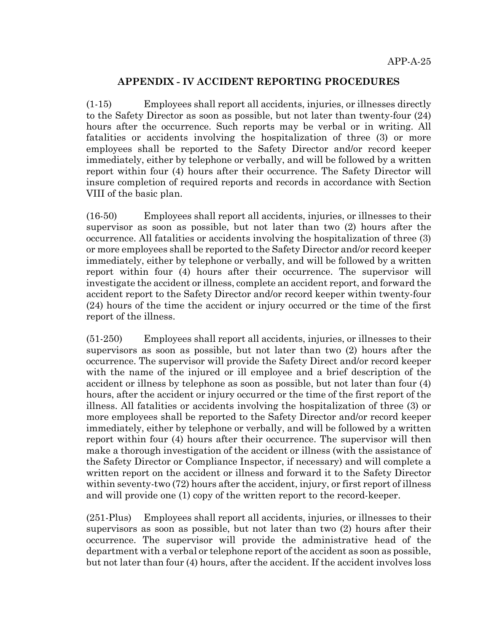#### **APPENDIX - IV ACCIDENT REPORTING PROCEDURES**

(1-15) Employees shall report all accidents, injuries, or illnesses directly to the Safety Director as soon as possible, but not later than twenty-four (24) hours after the occurrence. Such reports may be verbal or in writing. All fatalities or accidents involving the hospitalization of three (3) or more employees shall be reported to the Safety Director and/or record keeper immediately, either by telephone or verbally, and will be followed by a written report within four (4) hours after their occurrence. The Safety Director will insure completion of required reports and records in accordance with Section VIII of the basic plan.

(16-50) Employees shall report all accidents, injuries, or illnesses to their supervisor as soon as possible, but not later than two (2) hours after the occurrence. All fatalities or accidents involving the hospitalization of three (3) or more employees shall be reported to the Safety Director and/or record keeper immediately, either by telephone or verbally, and will be followed by a written report within four (4) hours after their occurrence. The supervisor will investigate the accident or illness, complete an accident report, and forward the accident report to the Safety Director and/or record keeper within twenty-four (24) hours of the time the accident or injury occurred or the time of the first report of the illness.

(51-250) Employees shall report all accidents, injuries, or illnesses to their supervisors as soon as possible, but not later than two (2) hours after the occurrence. The supervisor will provide the Safety Direct and/or record keeper with the name of the injured or ill employee and a brief description of the accident or illness by telephone as soon as possible, but not later than four (4) hours, after the accident or injury occurred or the time of the first report of the illness. All fatalities or accidents involving the hospitalization of three (3) or more employees shall be reported to the Safety Director and/or record keeper immediately, either by telephone or verbally, and will be followed by a written report within four (4) hours after their occurrence. The supervisor will then make a thorough investigation of the accident or illness (with the assistance of the Safety Director or Compliance Inspector, if necessary) and will complete a written report on the accident or illness and forward it to the Safety Director within seventy-two (72) hours after the accident, injury, or first report of illness and will provide one (1) copy of the written report to the record-keeper.

(251-Plus) Employees shall report all accidents, injuries, or illnesses to their supervisors as soon as possible, but not later than two (2) hours after their occurrence. The supervisor will provide the administrative head of the department with a verbal or telephone report of the accident as soon as possible, but not later than four (4) hours, after the accident. If the accident involves loss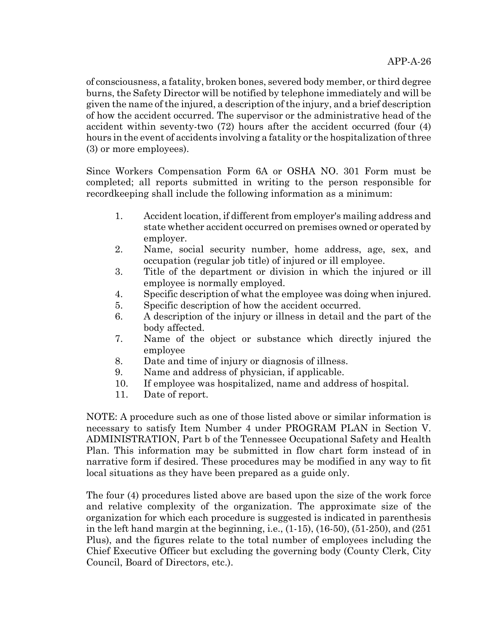of consciousness, a fatality, broken bones, severed body member, or third degree burns, the Safety Director will be notified by telephone immediately and will be given the name of the injured, a description of the injury, and a brief description of how the accident occurred. The supervisor or the administrative head of the accident within seventy-two (72) hours after the accident occurred (four (4) hours in the event of accidents involving a fatality or the hospitalization of three (3) or more employees).

Since Workers Compensation Form 6A or OSHA NO. 301 Form must be completed; all reports submitted in writing to the person responsible for recordkeeping shall include the following information as a minimum:

- 1. Accident location, if different from employer's mailing address and state whether accident occurred on premises owned or operated by employer.
- 2. Name, social security number, home address, age, sex, and occupation (regular job title) of injured or ill employee.
- 3. Title of the department or division in which the injured or ill employee is normally employed.
- 4. Specific description of what the employee was doing when injured.
- 5. Specific description of how the accident occurred.
- 6. A description of the injury or illness in detail and the part of the body affected.
- 7. Name of the object or substance which directly injured the employee
- 8. Date and time of injury or diagnosis of illness.
- 9. Name and address of physician, if applicable.
- 10. If employee was hospitalized, name and address of hospital.
- 11. Date of report.

NOTE: A procedure such as one of those listed above or similar information is necessary to satisfy Item Number 4 under PROGRAM PLAN in Section V. ADMINISTRATION, Part b of the Tennessee Occupational Safety and Health Plan. This information may be submitted in flow chart form instead of in narrative form if desired. These procedures may be modified in any way to fit local situations as they have been prepared as a guide only.

The four (4) procedures listed above are based upon the size of the work force and relative complexity of the organization. The approximate size of the organization for which each procedure is suggested is indicated in parenthesis in the left hand margin at the beginning, i.e.,  $(1-15)$ ,  $(16-50)$ ,  $(51-250)$ , and  $(251)$ Plus), and the figures relate to the total number of employees including the Chief Executive Officer but excluding the governing body (County Clerk, City Council, Board of Directors, etc.).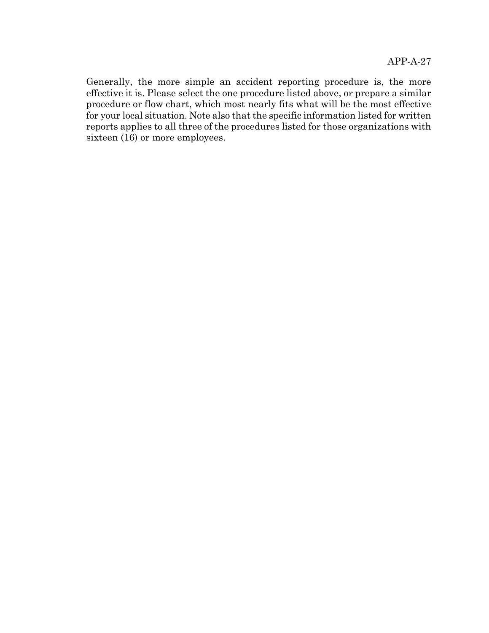Generally, the more simple an accident reporting procedure is, the more effective it is. Please select the one procedure listed above, or prepare a similar procedure or flow chart, which most nearly fits what will be the most effective for your local situation. Note also that the specific information listed for written reports applies to all three of the procedures listed for those organizations with sixteen  $(16)$  or more employees.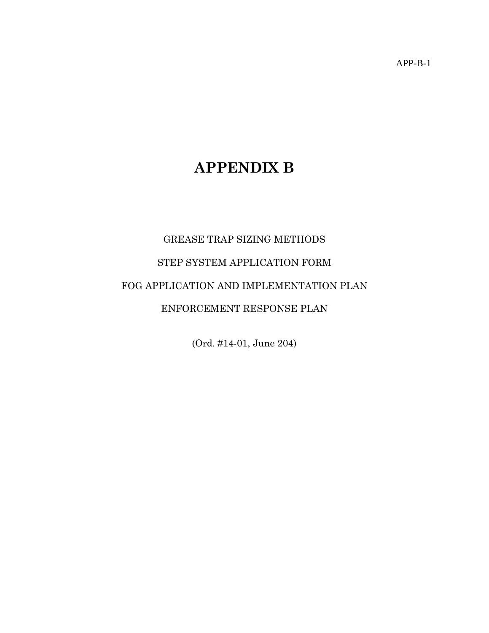APP-B-1

# **APPENDIX B**

# GREASE TRAP SIZING METHODS STEP SYSTEM APPLICATION FORM FOG APPLICATION AND IMPLEMENTATION PLAN ENFORCEMENT RESPONSE PLAN

(Ord. #14-01, June 204)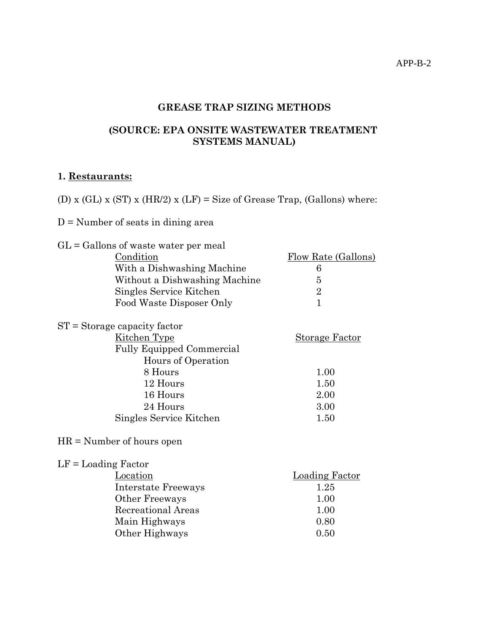APP-B-2

# **GREASE TRAP SIZING METHODS**

## **(SOURCE: EPA ONSITE WASTEWATER TREATMENT SYSTEMS MANUAL)**

# **1. Restaurants:**

(D) x (GL) x (ST) x (HR/2) x (LF) = Size of Grease Trap, (Gallons) where:

## D = Number of seats in dining area

| $GL =$ Gallons of waste water per meal |                       |
|----------------------------------------|-----------------------|
| Condition                              | Flow Rate (Gallons)   |
| With a Dishwashing Machine             | 6                     |
| Without a Dishwashing Machine          | 5                     |
| Singles Service Kitchen                | $\overline{2}$        |
| Food Waste Disposer Only               | $\mathbf{1}$          |
| $ST =$ Storage capacity factor         |                       |
| Kitchen Type                           | <b>Storage Factor</b> |
| <b>Fully Equipped Commercial</b>       |                       |
| Hours of Operation                     |                       |
| 8 Hours                                | 1.00                  |
| 12 Hours                               | 1.50                  |
| 16 Hours                               | 2.00                  |
| 24 Hours                               | 3.00                  |
| Singles Service Kitchen                | 1.50                  |
| $HR = Number of hours open$            |                       |
| $LF =$ Loading Factor                  |                       |
| Location                               | <u>Loading Factor</u> |
| Interstate Freeways                    | 1.25                  |
| Other Freeways                         | 1.00                  |
| Recreational Areas                     | 1.00                  |
| Main Highways                          | 0.80                  |
| Other Highways                         | 0.50                  |
|                                        |                       |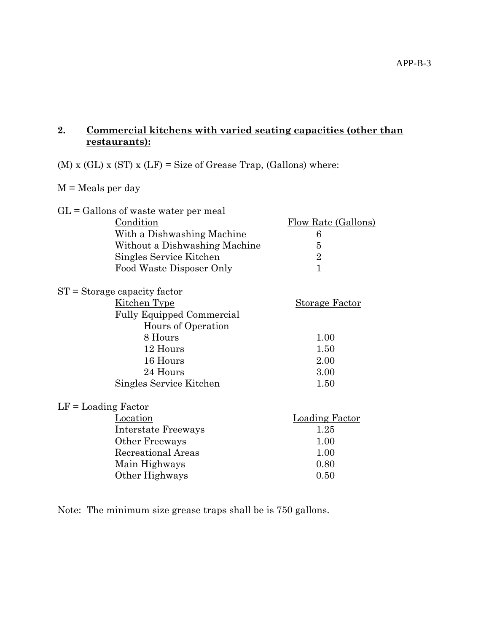## **2. Commercial kitchens with varied seating capacities (other than restaurants):**

# (M) x (GL) x (ST) x (LF) = Size of Grease Trap, (Gallons) where:

## M = Meals per day

|                       | $GL =$ Gallons of waste water per meal |                            |
|-----------------------|----------------------------------------|----------------------------|
|                       | Condition                              | <b>Flow Rate (Gallons)</b> |
|                       | With a Dishwashing Machine             | 6                          |
|                       | Without a Dishwashing Machine          | 5                          |
|                       | Singles Service Kitchen                | $\overline{2}$             |
|                       | Food Waste Disposer Only               | $\overline{1}$             |
|                       | $ST =$ Storage capacity factor         |                            |
|                       | <u>Kitchen Type</u>                    | <b>Storage Factor</b>      |
|                       | <b>Fully Equipped Commercial</b>       |                            |
|                       | Hours of Operation                     |                            |
|                       | 8 Hours                                | 1.00                       |
|                       | 12 Hours                               | 1.50                       |
|                       | 16 Hours                               | 2.00                       |
|                       | 24 Hours                               | 3.00                       |
|                       | Singles Service Kitchen                | 1.50                       |
| $LF =$ Loading Factor |                                        |                            |
|                       | Location                               | <b>Loading Factor</b>      |
|                       | Interstate Freeways                    | 1.25                       |
|                       | Other Freeways                         | 1.00                       |
|                       | Recreational Areas                     | 1.00                       |
|                       | Main Highways                          | 0.80                       |
|                       | Other Highways                         | 0.50                       |
|                       |                                        |                            |

Note: The minimum size grease traps shall be is 750 gallons.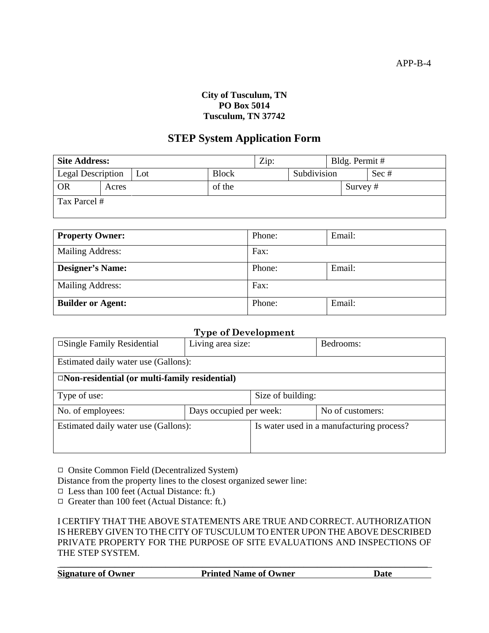#### **City of Tusculum, TN PO Box 5014 Tusculum, TN 37742**

# **STEP System Application Form**

| <b>Site Address:</b>            |       |              | Zip:   |             | Bldg. Permit # |          |  |
|---------------------------------|-------|--------------|--------|-------------|----------------|----------|--|
| <b>Legal Description</b><br>Lot |       | <b>Block</b> |        | Subdivision |                | Sec#     |  |
| <b>OR</b>                       | Acres |              | of the |             |                | Survey # |  |
| Tax Parcel #                    |       |              |        |             |                |          |  |

| <b>Property Owner:</b>   | Phone: | Email: |
|--------------------------|--------|--------|
| <b>Mailing Address:</b>  | Fax:   |        |
| <b>Designer's Name:</b>  | Phone: | Email: |
| <b>Mailing Address:</b>  | Fax:   |        |
| <b>Builder or Agent:</b> | Phone: | Email: |

## **Type of Development**

| . .<br>$\Box$ Single Family Residential<br>Living area size: |  |                   | Bedrooms:                                 |
|--------------------------------------------------------------|--|-------------------|-------------------------------------------|
| Estimated daily water use (Gallons):                         |  |                   |                                           |
| $\Box$ Non-residential (or multi-family residential)         |  |                   |                                           |
| Type of use:                                                 |  | Size of building: |                                           |
| Days occupied per week:<br>No. of employees:                 |  |                   | No of customers:                          |
| Estimated daily water use (Gallons):                         |  |                   | Is water used in a manufacturing process? |
|                                                              |  |                   |                                           |

9 Onsite Common Field (Decentralized System)

Distance from the property lines to the closest organized sewer line:

 $\Box$  Less than 100 feet (Actual Distance: ft.)

 $\Box$  Greater than 100 feet (Actual Distance: ft.)

I CERTIFY THAT THE ABOVE STATEMENTS ARE TRUE AND CORRECT. AUTHORIZATION IS HEREBY GIVEN TO THE CITY OF TUSCULUM TO ENTER UPON THE ABOVE DESCRIBED PRIVATE PROPERTY FOR THE PURPOSE OF SITE EVALUATIONS AND INSPECTIONS OF THE STEP SYSTEM.

| <b>Signature of Owner</b> | <b>Printed Name of Owner</b> |  |
|---------------------------|------------------------------|--|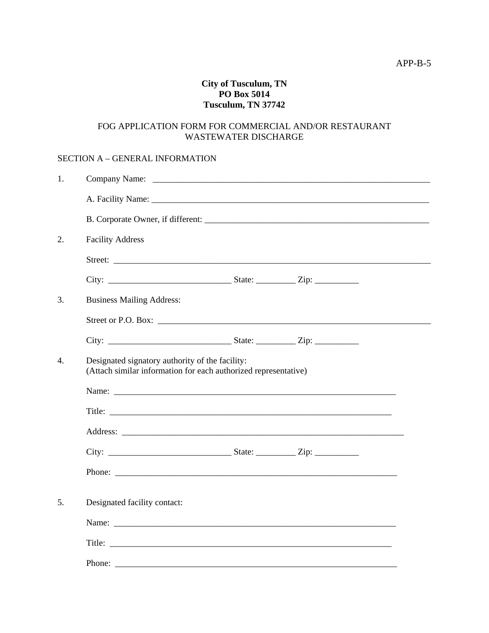#### **City of Tusculum, TN PO Box 5014 Tusculum, TN 37742**

#### FOG APPLICATION FORM FOR COMMERCIAL AND/OR RESTAURANT WASTEWATER DISCHARGE

#### SECTION A – GENERAL INFORMATION

| 1. |                                                                                                                                                                                                                                     |  |
|----|-------------------------------------------------------------------------------------------------------------------------------------------------------------------------------------------------------------------------------------|--|
|    | A. Facility Name: <u>A. Experimental</u> Control of the Second Control of the Second Control of the Second Control of the Second Control of the Second Control of the Second Control of the Second Control of the Second Control of |  |
|    |                                                                                                                                                                                                                                     |  |
| 2. | <b>Facility Address</b>                                                                                                                                                                                                             |  |
|    |                                                                                                                                                                                                                                     |  |
|    |                                                                                                                                                                                                                                     |  |
| 3. | <b>Business Mailing Address:</b>                                                                                                                                                                                                    |  |
|    |                                                                                                                                                                                                                                     |  |
|    |                                                                                                                                                                                                                                     |  |
| 4. | Designated signatory authority of the facility:<br>(Attach similar information for each authorized representative)                                                                                                                  |  |
|    |                                                                                                                                                                                                                                     |  |
|    |                                                                                                                                                                                                                                     |  |
|    |                                                                                                                                                                                                                                     |  |
|    |                                                                                                                                                                                                                                     |  |
|    |                                                                                                                                                                                                                                     |  |
| 5. | Designated facility contact:                                                                                                                                                                                                        |  |
|    |                                                                                                                                                                                                                                     |  |
|    |                                                                                                                                                                                                                                     |  |
|    | Phone:                                                                                                                                                                                                                              |  |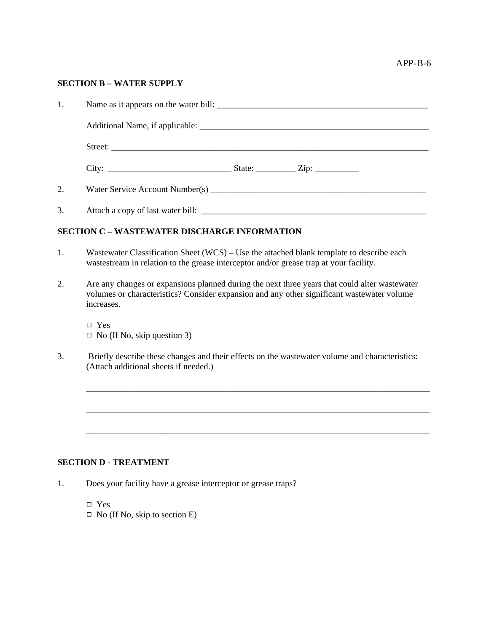#### APP-B-6

#### **SECTION B – WATER SUPPLY**

| 1. | Name as it appears on the water bill: |  |  |
|----|---------------------------------------|--|--|
|    |                                       |  |  |
|    |                                       |  |  |
|    |                                       |  |  |
| 2. |                                       |  |  |
| 3. |                                       |  |  |

#### **SECTION C – WASTEWATER DISCHARGE INFORMATION**

- 1. Wastewater Classification Sheet (WCS) Use the attached blank template to describe each wastestream in relation to the grease interceptor and/or grease trap at your facility.
- 2. Are any changes or expansions planned during the next three years that could alter wastewater volumes or characteristics? Consider expansion and any other significant wastewater volume increases.

 $\Box$  Yes  $\Box$  No (If No, skip question 3)

3. Briefly describe these changes and their effects on the wastewater volume and characteristics: (Attach additional sheets if needed.)

\_\_\_\_\_\_\_\_\_\_\_\_\_\_\_\_\_\_\_\_\_\_\_\_\_\_\_\_\_\_\_\_\_\_\_\_\_\_\_\_\_\_\_\_\_\_\_\_\_\_\_\_\_\_\_\_\_\_\_\_\_\_\_\_\_\_\_\_\_\_\_\_\_\_\_\_\_\_

\_\_\_\_\_\_\_\_\_\_\_\_\_\_\_\_\_\_\_\_\_\_\_\_\_\_\_\_\_\_\_\_\_\_\_\_\_\_\_\_\_\_\_\_\_\_\_\_\_\_\_\_\_\_\_\_\_\_\_\_\_\_\_\_\_\_\_\_\_\_\_\_\_\_\_\_\_\_

\_\_\_\_\_\_\_\_\_\_\_\_\_\_\_\_\_\_\_\_\_\_\_\_\_\_\_\_\_\_\_\_\_\_\_\_\_\_\_\_\_\_\_\_\_\_\_\_\_\_\_\_\_\_\_\_\_\_\_\_\_\_\_\_\_\_\_\_\_\_\_\_\_\_\_\_\_\_

#### **SECTION D - TREATMENT**

- 1. Does your facility have a grease interceptor or grease traps?
	- $\square$  Yes
	- $\Box$  No (If No, skip to section E)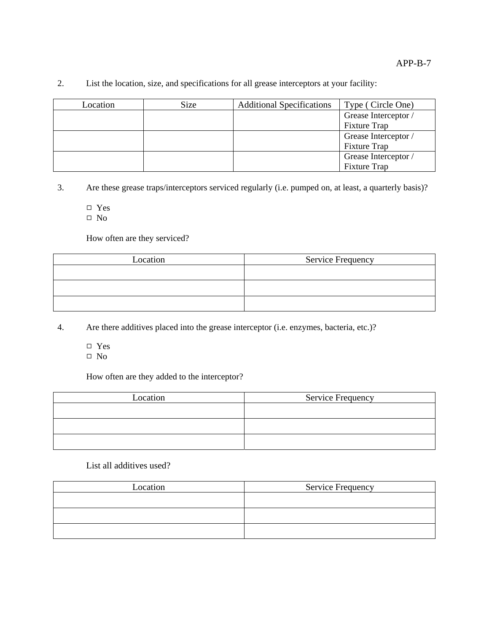| Location | Size | <b>Additional Specifications</b> | Type (Circle One)    |
|----------|------|----------------------------------|----------------------|
|          |      |                                  | Grease Interceptor / |
|          |      |                                  | <b>Fixture Trap</b>  |
|          |      |                                  | Grease Interceptor / |
|          |      |                                  | <b>Fixture Trap</b>  |
|          |      |                                  | Grease Interceptor / |
|          |      |                                  | <b>Fixture Trap</b>  |

#### 2. List the location, size, and specifications for all grease interceptors at your facility:

3. Are these grease traps/interceptors serviced regularly (i.e. pumped on, at least, a quarterly basis)?

 $\Box$  Yes

 $\hfill \Box$  No

How often are they serviced?

| Location | <b>Service Frequency</b> |
|----------|--------------------------|
|          |                          |
|          |                          |
|          |                          |
|          |                          |

4. Are there additives placed into the grease interceptor (i.e. enzymes, bacteria, etc.)?

- □ Yes
- $\Box$  No

How often are they added to the interceptor?

| Location | <b>Service Frequency</b> |  |  |
|----------|--------------------------|--|--|
|          |                          |  |  |
|          |                          |  |  |
|          |                          |  |  |

List all additives used?

| Location | <b>Service Frequency</b> |  |  |  |
|----------|--------------------------|--|--|--|
|          |                          |  |  |  |
|          |                          |  |  |  |
|          |                          |  |  |  |
|          |                          |  |  |  |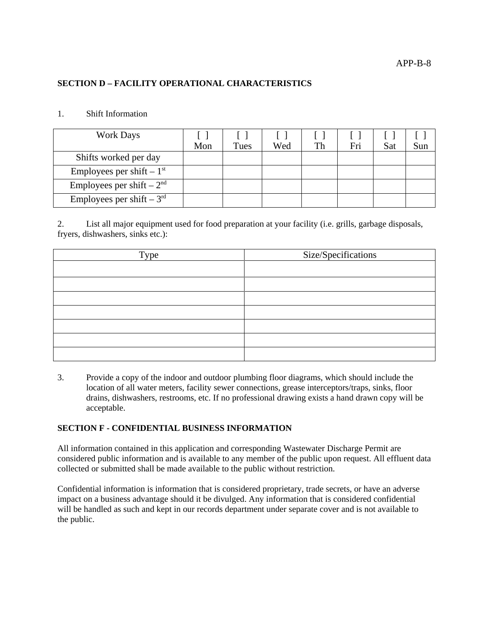#### **SECTION D – FACILITY OPERATIONAL CHARACTERISTICS**

#### 1. Shift Information

| <b>Work Days</b>              |     |      |     |    |     |     |     |
|-------------------------------|-----|------|-----|----|-----|-----|-----|
|                               | Mon | Tues | Wed | Th | Fri | Sat | Sun |
| Shifts worked per day         |     |      |     |    |     |     |     |
| Employees per shift $-1st$    |     |      |     |    |     |     |     |
| Employees per shift $-2nd$    |     |      |     |    |     |     |     |
| Employees per shift $-3^{rd}$ |     |      |     |    |     |     |     |

2. List all major equipment used for food preparation at your facility (i.e. grills, garbage disposals, fryers, dishwashers, sinks etc.):

| Type | Size/Specifications |
|------|---------------------|
|      |                     |
|      |                     |
|      |                     |
|      |                     |
|      |                     |
|      |                     |
|      |                     |

3. Provide a copy of the indoor and outdoor plumbing floor diagrams, which should include the location of all water meters, facility sewer connections, grease interceptors/traps, sinks, floor drains, dishwashers, restrooms, etc. If no professional drawing exists a hand drawn copy will be acceptable.

#### **SECTION F - CONFIDENTIAL BUSINESS INFORMATION**

All information contained in this application and corresponding Wastewater Discharge Permit are considered public information and is available to any member of the public upon request. All effluent data collected or submitted shall be made available to the public without restriction.

Confidential information is information that is considered proprietary, trade secrets, or have an adverse impact on a business advantage should it be divulged. Any information that is considered confidential will be handled as such and kept in our records department under separate cover and is not available to the public.